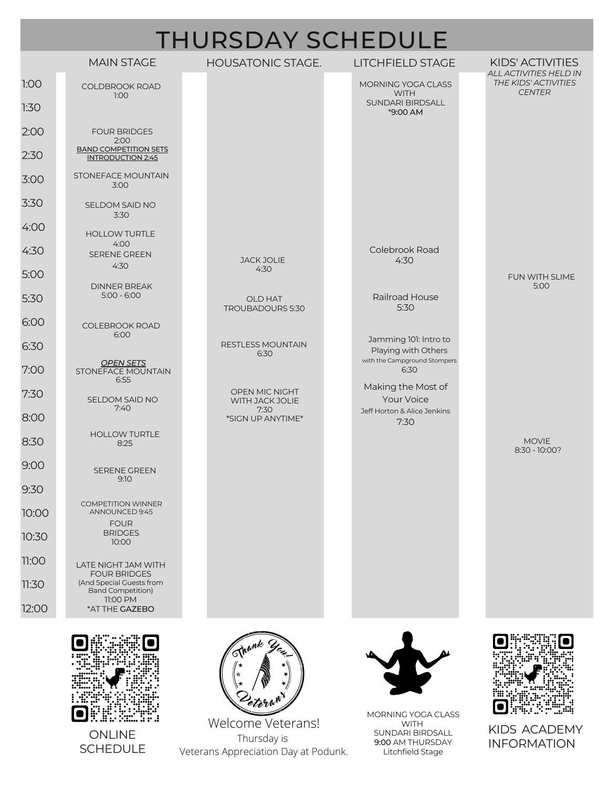|       |                                                          | <b>THURSDAY SCHEDULE</b>                 |                                              |                                                                        |
|-------|----------------------------------------------------------|------------------------------------------|----------------------------------------------|------------------------------------------------------------------------|
|       | <b>MAIN STAGE</b>                                        | <b>HOUSATONIC STAGE.</b>                 | <b>LITCHFIELD STAGE</b>                      | <b>KIDS' ACTIVITIES</b>                                                |
| 1:00  | COLDBROOK ROAD                                           |                                          | MORNING YOGA CLASS<br><b>WITH</b>            | <b>ALL ACTIVITIES HELD IN</b><br>THE KIDS' ACTIVITIES<br><b>CENTER</b> |
| 1:30  | 1:00                                                     |                                          | <b>SUNDARI BIRDSALL</b><br>*9:00 AM          |                                                                        |
| 2:00  | <b>FOUR BRIDGES</b><br>2:00                              |                                          |                                              |                                                                        |
| 2:30  | <b>BAND COMPETITION SETS</b><br><b>INTRODUCTION 2:45</b> |                                          |                                              |                                                                        |
| 3:00  | STONEFACE MOUNTAIN<br>3:00                               |                                          |                                              |                                                                        |
| 3:30  | SELDOM SAID NO<br>3:30                                   |                                          |                                              |                                                                        |
| 4:00  | <b>HOLLOW TURTLE</b>                                     |                                          |                                              |                                                                        |
| 4:30  | 4:00<br><b>SERENE GREEN</b>                              | <b>JACK JOLIE</b>                        | Colebrook Road<br>4:30                       |                                                                        |
| 5:00  | 4:30                                                     | 4:30                                     |                                              | FUN WITH SLIME                                                         |
| 5:30  | <b>DINNER BREAK</b><br>$5:00 - 6:00$                     | OLD HAT<br>TROUBADOURS 5:30              | Railroad House<br>5:30                       | 5:00                                                                   |
| 6:00  | <b>COLEBROOK ROAD</b><br>6:00                            |                                          |                                              |                                                                        |
| 6:30  |                                                          | <b>RESTLESS MOUNTAIN</b><br>6:30         | Jamming 101: Intro to<br>Playing with Others |                                                                        |
| 7:00  | <b>OPEN SETS</b><br>STONEFACE MOUNTAIN<br>6:55           |                                          | with the Campground Stompers<br>6:30         |                                                                        |
| 7:30  | SELDOM SAID NO                                           | OPEN MIC NIGHT<br><b>WITH JACK JOLIE</b> | Making the Most of<br>Your Voice             |                                                                        |
| 8:00  | 7:40                                                     | 7:30<br>*SIGN UP ANYTIME*                | Jeff Horton & Alice Jenkins<br>7:30          |                                                                        |
| 8:30  | <b>HOLLOW TURTLE</b><br>8:25                             |                                          |                                              | <b>MOVIE</b><br>8:30 - 10:00?                                          |
| 9:00  | <b>SERENE GREEN</b>                                      |                                          |                                              |                                                                        |
| 9:30  | 9:10                                                     |                                          |                                              |                                                                        |
| 10:00 | <b>COMPETITION WINNER</b><br>ANNOUNCED 9:45              |                                          |                                              |                                                                        |
| 10:30 | <b>FOUR</b><br><b>BRIDGES</b><br>10:00                   |                                          |                                              |                                                                        |
| 11:00 | LATE NIGHT JAM WITH<br><b>FOUR BRIDGES</b>               |                                          |                                              |                                                                        |
| 11:30 | (And Special Guests from<br><b>Band Competition)</b>     |                                          |                                              |                                                                        |
| 12:00 | 11:00 PM<br>*AT THE GAZEBO                               |                                          |                                              |                                                                        |



ONLINE SCHEDULE



Welcome Veterans! Thursday is Veterans Appreciation Day at Podunk.



MORNING YOGA CLASS WITH SUNDARI BIRDSALL 9:00 AM THURSDAY Litchfield Stage



KIDS ACADEMY INFORMATION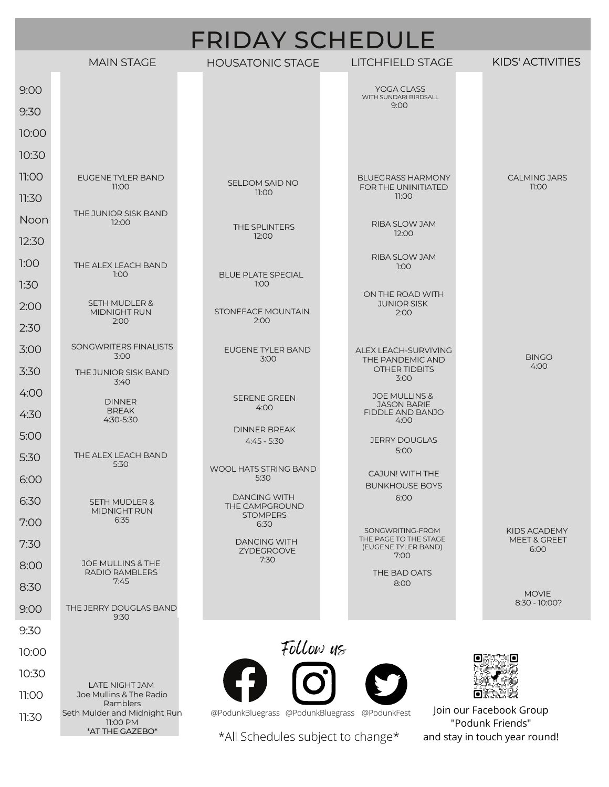| <b>FRIDAY SCHEDULE</b> |                                                                     |  |                                                          |  |                                                      |  |                                                   |  |
|------------------------|---------------------------------------------------------------------|--|----------------------------------------------------------|--|------------------------------------------------------|--|---------------------------------------------------|--|
|                        | <b>MAIN STAGE</b>                                                   |  | <b>HOUSATONIC STAGE</b>                                  |  | <b>LITCHFIELD STAGE</b>                              |  | <b>KIDS' ACTIVITIES</b>                           |  |
| 9:00                   |                                                                     |  |                                                          |  | YOGA CLASS<br>WITH SUNDARI BIRDSALL                  |  |                                                   |  |
| 9:30                   |                                                                     |  |                                                          |  | 9:00                                                 |  |                                                   |  |
| 10:00                  |                                                                     |  |                                                          |  |                                                      |  |                                                   |  |
| 10:30                  |                                                                     |  |                                                          |  |                                                      |  |                                                   |  |
| 11:00                  | EUGENE TYLER BAND<br>11:00                                          |  | <b>SELDOM SAID NO</b>                                    |  | <b>BLUEGRASS HARMONY</b><br>FOR THE UNINITIATED      |  | <b>CALMING JARS</b><br>11:00                      |  |
| 11:30                  |                                                                     |  | 11:00                                                    |  | 11:00                                                |  |                                                   |  |
| Noon                   | THE JUNIOR SISK BAND<br>12:00                                       |  | THE SPLINTERS                                            |  | RIBA SLOW JAM                                        |  |                                                   |  |
| 12:30                  |                                                                     |  | 12:00                                                    |  | 12:00                                                |  |                                                   |  |
| 1:00                   | THE ALEX LEACH BAND<br>1:00                                         |  | <b>BLUE PLATE SPECIAL</b>                                |  | RIBA SLOW JAM<br>1:00                                |  |                                                   |  |
| 1:30                   |                                                                     |  | 1:00                                                     |  | ON THE ROAD WITH                                     |  |                                                   |  |
| 2:00                   | <b>SETH MUDLER &amp;</b><br><b>MIDNIGHT RUN</b>                     |  | STONEFACE MOUNTAIN                                       |  | <b>JUNIOR SISK</b><br>2:00                           |  |                                                   |  |
| 2:30                   | 2:00                                                                |  | 2:00                                                     |  |                                                      |  |                                                   |  |
| 3:00                   | SONGWRITERS FINALISTS<br>3:00                                       |  | EUGENE TYLER BAND<br>3:00                                |  | ALEX LEACH-SURVIVING<br>THE PANDEMIC AND             |  | <b>BINGO</b>                                      |  |
| 3:30                   | THE JUNIOR SISK BAND<br>3:40                                        |  |                                                          |  | <b>OTHER TIDBITS</b><br>3:00                         |  | 4:00                                              |  |
| 4:00                   | <b>DINNER</b>                                                       |  | <b>SERENE GREEN</b>                                      |  | <b>JOE MULLINS &amp;</b><br><b>JASON BARIE</b>       |  |                                                   |  |
| 4:30                   | <b>BREAK</b><br>$4:30 - 5:30$                                       |  | 4:00                                                     |  | FIDDLE AND BANJO<br>4:00                             |  |                                                   |  |
| 5:00                   |                                                                     |  | <b>DINNER BREAK</b><br>$4:45 - 5:30$                     |  | <b>JERRY DOUGLAS</b><br>5:00                         |  |                                                   |  |
| 5:30                   | THE ALEX LEACH BAND<br>5:30                                         |  | <b>WOOL HATS STRING BAND</b>                             |  |                                                      |  |                                                   |  |
| 6:00                   |                                                                     |  | 5:30                                                     |  | CAJUN! WITH THE<br><b>BUNKHOUSE BOYS</b>             |  |                                                   |  |
| 6:30                   | <b>SETH MUDLER &amp;</b><br><b>MIDNIGHT RUN</b>                     |  | <b>DANCING WITH</b><br>THE CAMPGROUND<br><b>STOMPERS</b> |  | 6:00                                                 |  |                                                   |  |
| 7:00                   | 6:35                                                                |  | 6:30                                                     |  | SONGWRITING-FROM                                     |  | <b>KIDS ACADEMY</b>                               |  |
| 7:30                   |                                                                     |  | <b>DANCING WITH</b><br>ZYDEGROOVE<br>7:30                |  | THE PAGE TO THE STAGE<br>(EUGENE TYLER BAND)<br>7:00 |  | <b>MEET &amp; GREET</b><br>6:00                   |  |
| 8:00                   | <b>JOE MULLINS &amp; THE</b><br>RADIO RAMBLERS<br>7:45              |  |                                                          |  | THE BAD OATS                                         |  |                                                   |  |
| 8:30                   |                                                                     |  |                                                          |  | 8:00                                                 |  | <b>MOVIE</b><br>$8:30 - 10:00?$                   |  |
| 9:00                   | THE JERRY DOUGLAS BAND<br>9:30                                      |  |                                                          |  |                                                      |  |                                                   |  |
| 9:30                   |                                                                     |  |                                                          |  |                                                      |  |                                                   |  |
| 10:00                  |                                                                     |  | Follow us                                                |  |                                                      |  | О                                                 |  |
| 10:30                  | LATE NIGHT JAM                                                      |  |                                                          |  |                                                      |  |                                                   |  |
| 11:00                  | Joe Mullins & The Radio<br>Ramblers<br>Seth Mulder and Midnight Run |  | @PodunkBluegrass @PodunkBluegrass                        |  | @PodunkFest                                          |  | Join our Facebook Group                           |  |
| 11:30                  | 11:00 PM<br>*AT THE GAZEBO*                                         |  | *All Schedules subject to change*                        |  |                                                      |  | "Podunk Friends"<br>and stay in touch year round! |  |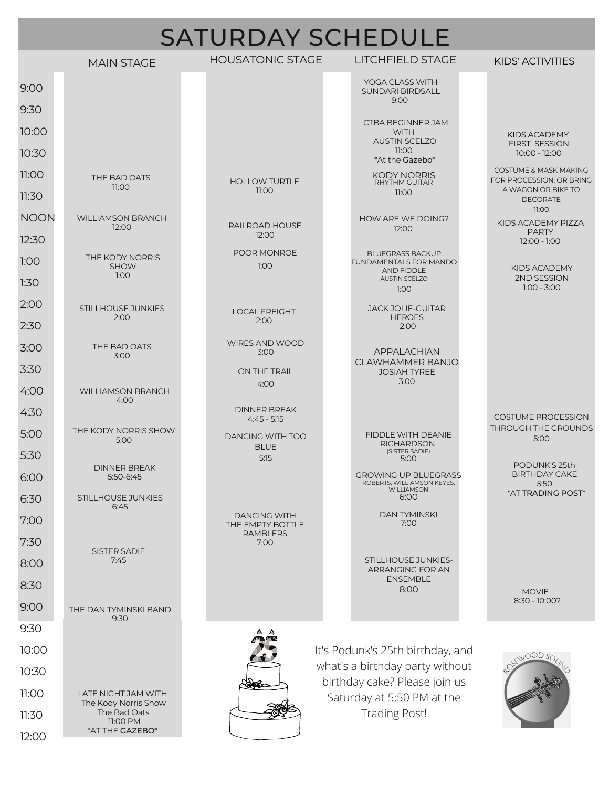| <b>SATURDAY SCHEDULE</b> |                                             |  |                                         |  |                                                                                |  |                                                   |  |
|--------------------------|---------------------------------------------|--|-----------------------------------------|--|--------------------------------------------------------------------------------|--|---------------------------------------------------|--|
|                          | <b>MAIN STAGE</b>                           |  | <b>HOUSATONIC STAGE</b>                 |  | <b>LITCHFIELD STAGE</b>                                                        |  | <b>KIDS' ACTIVITIES</b>                           |  |
| 9:00                     |                                             |  |                                         |  | YOGA CLASS WITH<br><b>SUNDARI BIRDSALL</b><br>9:00                             |  |                                                   |  |
| 9:30                     |                                             |  |                                         |  | CTBA BEGINNER JAM                                                              |  |                                                   |  |
| 10:00                    |                                             |  |                                         |  | <b>WITH</b><br><b>AUSTIN SCELZO</b>                                            |  | <b>KIDS ACADEMY</b><br><b>FIRST SESSION</b>       |  |
| 10:30                    |                                             |  |                                         |  | 11:00<br>*At the Gazebo*                                                       |  | $10:00 - 12:00$                                   |  |
| 11:00                    | THE BAD OATS<br>11:00                       |  | <b>HOLLOW TURTLE</b>                    |  | <b>KODY NORRIS</b><br>RHYTHM GUITAR                                            |  | COSTUME & MASK MAKING<br>FOR PROCESSION; OR BRING |  |
| 11:30                    |                                             |  | 11:00                                   |  | 11:00                                                                          |  | A WAGON OR BIKE TO<br><b>DECORATE</b>             |  |
| <b>NOON</b>              | <b>WILLIAMSON BRANCH</b><br>12:00           |  | RAILROAD HOUSE                          |  | HOW ARE WE DOING?<br>12:00                                                     |  | 11:00<br>KIDS ACADEMY PIZZA                       |  |
| 12:30                    |                                             |  | 12:00                                   |  |                                                                                |  | <b>PARTY</b><br>$12:00 - 1:00$                    |  |
| 1:00                     | THE KODY NORRIS<br><b>SHOW</b>              |  | POOR MONROE<br>1:00                     |  | <b>BLUEGRASS BACKUP</b><br>FUNDAMENTALS FOR MANDO<br>AND FIDDLE                |  | <b>KIDS ACADEMY</b>                               |  |
| 1:30                     | 1:00                                        |  |                                         |  | <b>AUSTIN SCELZO</b><br>1:00                                                   |  | 2ND SESSION<br>$1:00 - 3:00$                      |  |
| 2:00                     | <b>STILLHOUSE JUNKIES</b><br>2:00           |  | <b>LOCAL FREIGHT</b>                    |  | <b>JACK JOLIE-GUITAR</b><br><b>HEROES</b>                                      |  |                                                   |  |
| 2:30                     |                                             |  | 2:00                                    |  | 2:00                                                                           |  |                                                   |  |
| 3:00                     | THE BAD OATS<br>3:00                        |  | <b>WIRES AND WOOD</b><br>3:00           |  | <b>APPALACHIAN</b>                                                             |  |                                                   |  |
| 3:30                     |                                             |  | ON THE TRAIL                            |  | <b>CLAWHAMMER BANJO</b><br><b>JOSIAH TYREE</b><br>3:00                         |  |                                                   |  |
| 4:00                     | <b>WILLIAMSON BRANCH</b><br>4:00            |  | 4:00                                    |  |                                                                                |  |                                                   |  |
| 4:30                     |                                             |  | <b>DINNER BREAK</b><br>$4:45 - 5:15$    |  |                                                                                |  | <b>COSTUME PROCESSION</b>                         |  |
| 5:00                     | THE KODY NORRIS SHOW<br>5:00                |  | <b>DANCING WITH TOO</b>                 |  | <b>FIDDLE WITH DEANIE</b><br><b>RICHARDSON</b>                                 |  | THROUGH THE GROUNDS<br>5:00                       |  |
| 5:30                     |                                             |  | <b>BLUE</b><br>5:15                     |  | (SISTER SADIE)<br>5:00                                                         |  | PODUNK'S 25th                                     |  |
| 6:00                     | <b>DINNER BREAK</b><br>5:50-6:45            |  |                                         |  | <b>GROWING UP BLUEGRASS</b><br>ROBERTS, WILLIAMSON KEYES,<br><b>WILLIAMSON</b> |  | <b>BIRTHDAY CAKE</b><br>5:50                      |  |
| 6:30                     | <b>STILLHOUSE JUNKIES</b><br>6:45           |  |                                         |  | 6:00                                                                           |  | *AT TRADING POST*                                 |  |
| 7:00                     |                                             |  | <b>DANCING WITH</b><br>THE EMPTY BOTTLE |  | <b>DAN TYMINSKI</b><br>7:00                                                    |  |                                                   |  |
| 7:30                     | <b>SISTER SADIE</b>                         |  | <b>RAMBLERS</b><br>7:00                 |  |                                                                                |  |                                                   |  |
| 8:00                     | 7:45                                        |  |                                         |  | <b>STILLHOUSE JUNKIES-</b><br>ARRANGING FOR AN                                 |  |                                                   |  |
| 8:30                     |                                             |  |                                         |  | <b>ENSEMBLE</b><br>8:00                                                        |  | <b>MOVIE</b>                                      |  |
| 9:00                     | THE DAN TYMINSKI BAND<br>9:30               |  |                                         |  |                                                                                |  | 8:30 - 10:00?                                     |  |
| 9:30                     |                                             |  |                                         |  |                                                                                |  |                                                   |  |
| 10:00                    |                                             |  |                                         |  | It's Podunk's 25th birthday, and                                               |  | viOOD sr                                          |  |
| 10:30                    |                                             |  |                                         |  | what's a birthday party without<br>birthday cake? Please join us               |  |                                                   |  |
| 11:00                    | LATE NIGHT JAM WITH<br>The Kody Norris Show |  |                                         |  | Saturday at 5:50 PM at the                                                     |  |                                                   |  |
| 11:30                    | The Bad Oats<br>11:00 PM                    |  |                                         |  | <b>Trading Post!</b>                                                           |  |                                                   |  |
| 12:00                    | *AT THE GAZEBO*                             |  |                                         |  |                                                                                |  |                                                   |  |